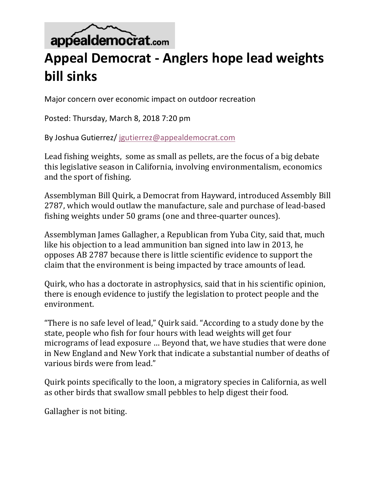

## **Appeal Democrat - Anglers hope lead weights bill sinks**

Major concern over economic impact on outdoor recreation

Posted: Thursday, March 8, 2018 7:20 pm

By Joshua Gutierrez/ jgutierrez@appealdemocrat.com

Lead fishing weights, some as small as pellets, are the focus of a big debate this legislative season in California, involving environmentalism, economics and the sport of fishing.

Assemblyman Bill Quirk, a Democrat from Hayward, introduced Assembly Bill 2787, which would outlaw the manufacture, sale and purchase of lead-based fishing weights under 50 grams (one and three-quarter ounces).

Assemblyman James Gallagher, a Republican from Yuba City, said that, much like his objection to a lead ammunition ban signed into law in 2013, he opposes AB 2787 because there is little scientific evidence to support the claim that the environment is being impacted by trace amounts of lead.

Quirk, who has a doctorate in astrophysics, said that in his scientific opinion, there is enough evidence to justify the legislation to protect people and the environment.

"There is no safe level of lead," Quirk said. "According to a study done by the state, people who fish for four hours with lead weights will get four micrograms of lead exposure ... Beyond that, we have studies that were done in New England and New York that indicate a substantial number of deaths of various birds were from lead."

Quirk points specifically to the loon, a migratory species in California, as well as other birds that swallow small pebbles to help digest their food.

Gallagher is not biting.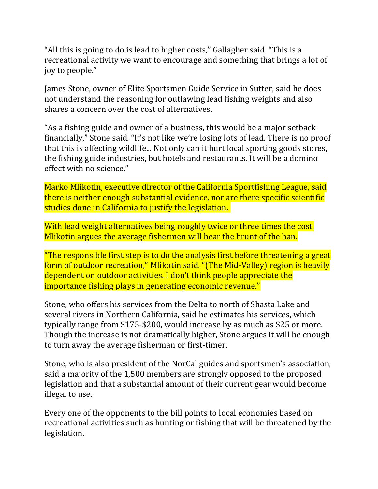"All this is going to do is lead to higher costs," Gallagher said. "This is a recreational activity we want to encourage and something that brings a lot of joy to people."

James Stone, owner of Elite Sportsmen Guide Service in Sutter, said he does not understand the reasoning for outlawing lead fishing weights and also shares a concern over the cost of alternatives.

"As a fishing guide and owner of a business, this would be a major setback financially," Stone said. "It's not like we're losing lots of lead. There is no proof that this is affecting wildlife... Not only can it hurt local sporting goods stores, the fishing guide industries, but hotels and restaurants. It will be a domino effect with no science."

Marko Mlikotin, executive director of the California Sportfishing League, said there is neither enough substantial evidence, nor are there specific scientific studies done in California to justify the legislation.

With lead weight alternatives being roughly twice or three times the cost, Mlikotin argues the average fishermen will bear the brunt of the ban.

"The responsible first step is to do the analysis first before threatening a great form of outdoor recreation," Mlikotin said. "(The Mid-Valley) region is heavily dependent on outdoor activities. I don't think people appreciate the importance fishing plays in generating economic revenue."

Stone, who offers his services from the Delta to north of Shasta Lake and several rivers in Northern California, said he estimates his services, which typically range from \$175-\$200, would increase by as much as \$25 or more. Though the increase is not dramatically higher, Stone argues it will be enough to turn away the average fisherman or first-timer.

Stone, who is also president of the NorCal guides and sportsmen's association, said a majority of the 1,500 members are strongly opposed to the proposed legislation and that a substantial amount of their current gear would become illegal to use.

Every one of the opponents to the bill points to local economies based on recreational activities such as hunting or fishing that will be threatened by the legislation.